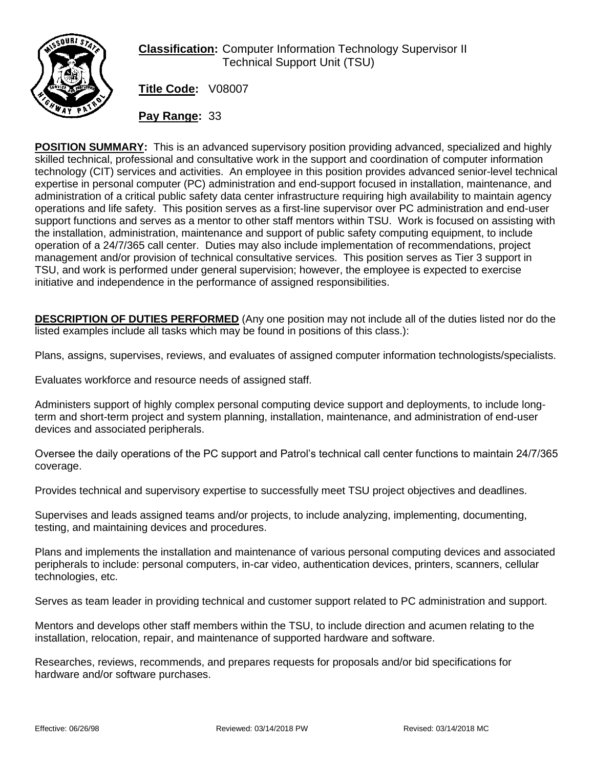

## **Classification:** Computer Information Technology Supervisor II Technical Support Unit (TSU)

**Title Code:** V08007

**Pay Range:** 33

**POSITION SUMMARY:** This is an advanced supervisory position providing advanced, specialized and highly skilled technical, professional and consultative work in the support and coordination of computer information technology (CIT) services and activities. An employee in this position provides advanced senior-level technical expertise in personal computer (PC) administration and end-support focused in installation, maintenance, and administration of a critical public safety data center infrastructure requiring high availability to maintain agency operations and life safety. This position serves as a first-line supervisor over PC administration and end-user support functions and serves as a mentor to other staff mentors within TSU. Work is focused on assisting with the installation, administration, maintenance and support of public safety computing equipment, to include operation of a 24/7/365 call center. Duties may also include implementation of recommendations, project management and/or provision of technical consultative services. This position serves as Tier 3 support in TSU, and work is performed under general supervision; however, the employee is expected to exercise initiative and independence in the performance of assigned responsibilities.

**DESCRIPTION OF DUTIES PERFORMED** (Any one position may not include all of the duties listed nor do the listed examples include all tasks which may be found in positions of this class.):

Plans, assigns, supervises, reviews, and evaluates of assigned computer information technologists/specialists.

Evaluates workforce and resource needs of assigned staff.

Administers support of highly complex personal computing device support and deployments, to include longterm and short-term project and system planning, installation, maintenance, and administration of end-user devices and associated peripherals.

Oversee the daily operations of the PC support and Patrol's technical call center functions to maintain 24/7/365 coverage.

Provides technical and supervisory expertise to successfully meet TSU project objectives and deadlines.

Supervises and leads assigned teams and/or projects, to include analyzing, implementing, documenting, testing, and maintaining devices and procedures.

Plans and implements the installation and maintenance of various personal computing devices and associated peripherals to include: personal computers, in-car video, authentication devices, printers, scanners, cellular technologies, etc.

Serves as team leader in providing technical and customer support related to PC administration and support.

Mentors and develops other staff members within the TSU, to include direction and acumen relating to the installation, relocation, repair, and maintenance of supported hardware and software.

Researches, reviews, recommends, and prepares requests for proposals and/or bid specifications for hardware and/or software purchases.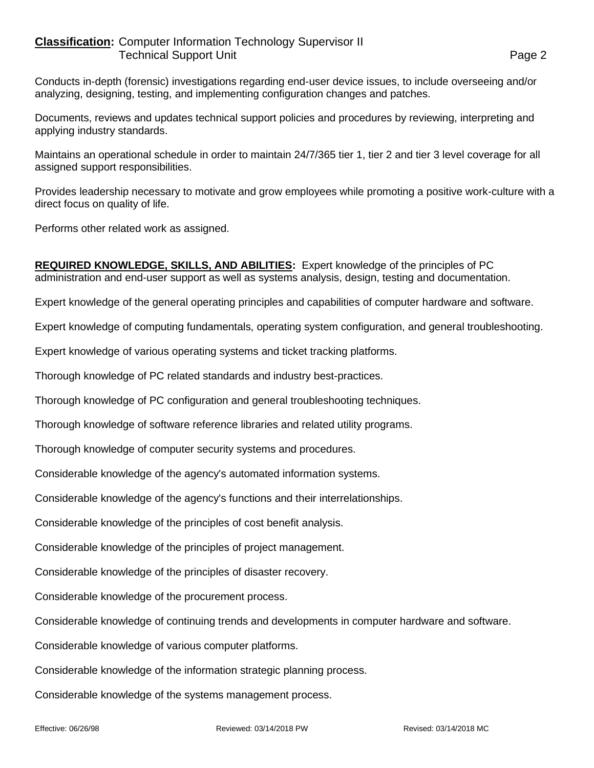## **Classification:** Computer Information Technology Supervisor II Technical Support Unit **Page 2**

Conducts in-depth (forensic) investigations regarding end-user device issues, to include overseeing and/or analyzing, designing, testing, and implementing configuration changes and patches.

Documents, reviews and updates technical support policies and procedures by reviewing, interpreting and applying industry standards.

Maintains an operational schedule in order to maintain 24/7/365 tier 1, tier 2 and tier 3 level coverage for all assigned support responsibilities.

Provides leadership necessary to motivate and grow employees while promoting a positive work-culture with a direct focus on quality of life.

Performs other related work as assigned.

**REQUIRED KNOWLEDGE, SKILLS, AND ABILITIES:** Expert knowledge of the principles of PC administration and end-user support as well as systems analysis, design, testing and documentation.

Expert knowledge of the general operating principles and capabilities of computer hardware and software.

Expert knowledge of computing fundamentals, operating system configuration, and general troubleshooting.

Expert knowledge of various operating systems and ticket tracking platforms.

Thorough knowledge of PC related standards and industry best-practices.

Thorough knowledge of PC configuration and general troubleshooting techniques.

Thorough knowledge of software reference libraries and related utility programs.

Thorough knowledge of computer security systems and procedures.

Considerable knowledge of the agency's automated information systems.

Considerable knowledge of the agency's functions and their interrelationships.

Considerable knowledge of the principles of cost benefit analysis.

Considerable knowledge of the principles of project management.

Considerable knowledge of the principles of disaster recovery.

Considerable knowledge of the procurement process.

Considerable knowledge of continuing trends and developments in computer hardware and software.

Considerable knowledge of various computer platforms.

Considerable knowledge of the information strategic planning process.

Considerable knowledge of the systems management process.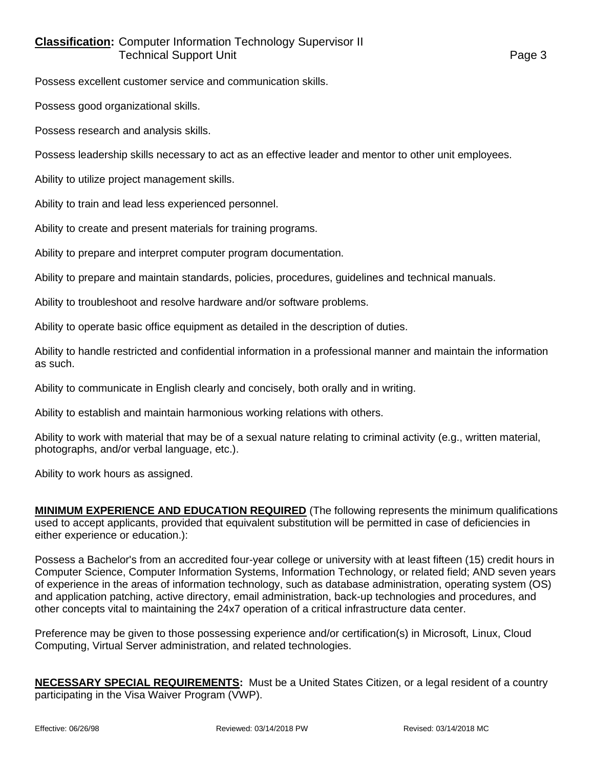## **Classification:** Computer Information Technology Supervisor II **Technical Support Unit Contract Contract Contract Contract Contract Contract Contract Contract Contract Contract Contract Contract Contract Contract Contract Contract Contract Contract Contract Contract Contract Contrac**

Possess excellent customer service and communication skills.

Possess good organizational skills.

Possess research and analysis skills.

Possess leadership skills necessary to act as an effective leader and mentor to other unit employees.

Ability to utilize project management skills.

Ability to train and lead less experienced personnel.

Ability to create and present materials for training programs.

Ability to prepare and interpret computer program documentation.

Ability to prepare and maintain standards, policies, procedures, guidelines and technical manuals.

Ability to troubleshoot and resolve hardware and/or software problems.

Ability to operate basic office equipment as detailed in the description of duties.

Ability to handle restricted and confidential information in a professional manner and maintain the information as such.

Ability to communicate in English clearly and concisely, both orally and in writing.

Ability to establish and maintain harmonious working relations with others.

Ability to work with material that may be of a sexual nature relating to criminal activity (e.g., written material, photographs, and/or verbal language, etc.).

Ability to work hours as assigned.

**MINIMUM EXPERIENCE AND EDUCATION REQUIRED** (The following represents the minimum qualifications used to accept applicants, provided that equivalent substitution will be permitted in case of deficiencies in either experience or education.):

Possess a Bachelor's from an accredited four-year college or university with at least fifteen (15) credit hours in Computer Science, Computer Information Systems, Information Technology, or related field; AND seven years of experience in the areas of information technology, such as database administration, operating system (OS) and application patching, active directory, email administration, back-up technologies and procedures, and other concepts vital to maintaining the 24x7 operation of a critical infrastructure data center.

Preference may be given to those possessing experience and/or certification(s) in Microsoft, Linux, Cloud Computing, Virtual Server administration, and related technologies.

**NECESSARY SPECIAL REQUIREMENTS:** Must be a United States Citizen, or a legal resident of a country participating in the Visa Waiver Program (VWP).